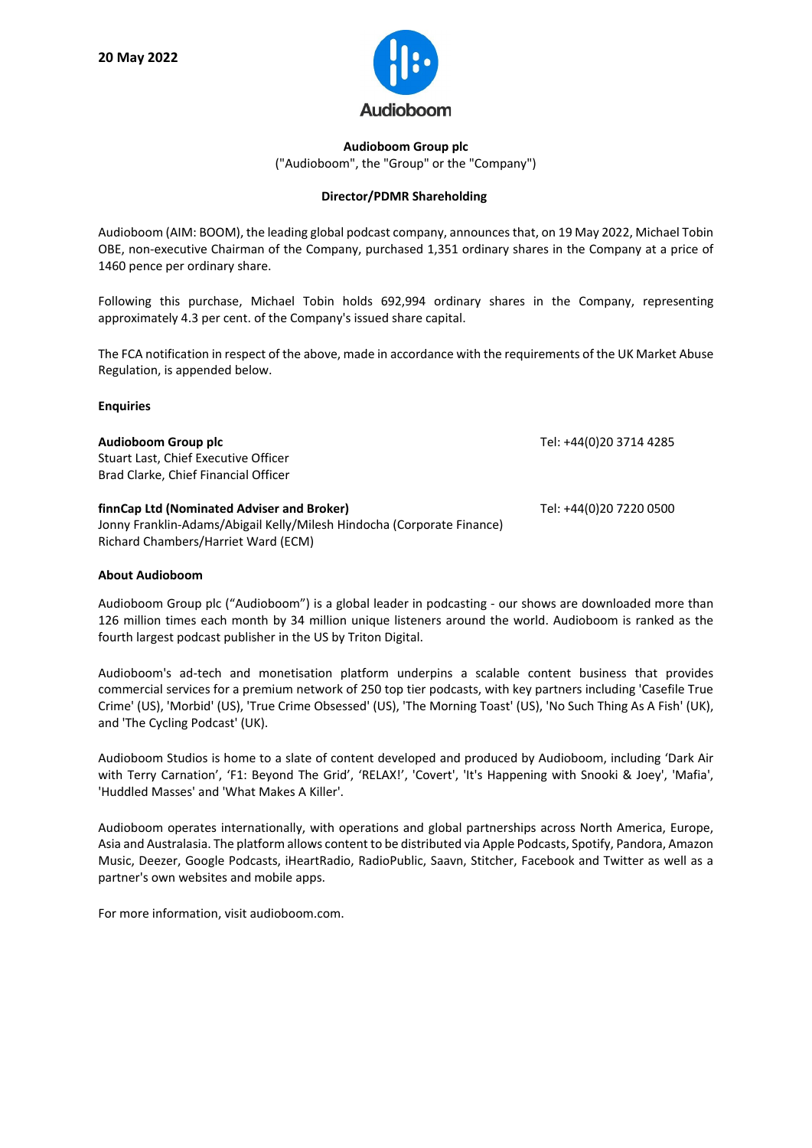

**Audioboom Group plc** ("Audioboom", the "Group" or the "Company")

## **Director/PDMR Shareholding**

Audioboom (AIM: BOOM), the leading global podcast company, announces that, on 19 May 2022, Michael Tobin OBE, non-executive Chairman of the Company, purchased 1,351 ordinary shares in the Company at a price of 1460 pence per ordinary share.

Following this purchase, Michael Tobin holds 692,994 ordinary shares in the Company, representing approximately 4.3 per cent. of the Company's issued share capital.

The FCA notification in respect of the above, made in accordance with the requirements of the UK Market Abuse Regulation, is appended below.

## **Enquiries**

| Audioboom Group plc<br>Stuart Last, Chief Executive Officer<br>Brad Clarke, Chief Financial Officer                                                         | Tel: +44(0)20 3714 4285 |
|-------------------------------------------------------------------------------------------------------------------------------------------------------------|-------------------------|
| finnCap Ltd (Nominated Adviser and Broker)<br>Jonny Franklin-Adams/Abigail Kelly/Milesh Hindocha (Corporate Finance)<br>Richard Chambers/Harriet Ward (ECM) | Tel: +44(0)20 7220 0500 |

## **About Audioboom**

Audioboom Group plc ("Audioboom") is a global leader in podcasting - our shows are downloaded more than 126 million times each month by 34 million unique listeners around the world. Audioboom is ranked as the fourth largest podcast publisher in the US by Triton Digital.

Audioboom's ad-tech and monetisation platform underpins a scalable content business that provides commercial services for a premium network of 250 top tier podcasts, with key partners including 'Casefile True Crime' (US), 'Morbid' (US), 'True Crime Obsessed' (US), 'The Morning Toast' (US), 'No Such Thing As A Fish' (UK), and 'The Cycling Podcast' (UK).

Audioboom Studios is home to a slate of content developed and produced by Audioboom, including 'Dark Air with Terry Carnation', 'F1: Beyond The Grid', 'RELAX!', 'Covert', 'It's Happening with Snooki & Joey', 'Mafia', 'Huddled Masses' and 'What Makes A Killer'.

Audioboom operates internationally, with operations and global partnerships across North America, Europe, Asia and Australasia. The platform allows content to be distributed via Apple Podcasts, Spotify, Pandora, Amazon Music, Deezer, Google Podcasts, iHeartRadio, RadioPublic, Saavn, Stitcher, Facebook and Twitter as well as a partner's own websites and mobile apps.

For more information, visit audioboom.com.